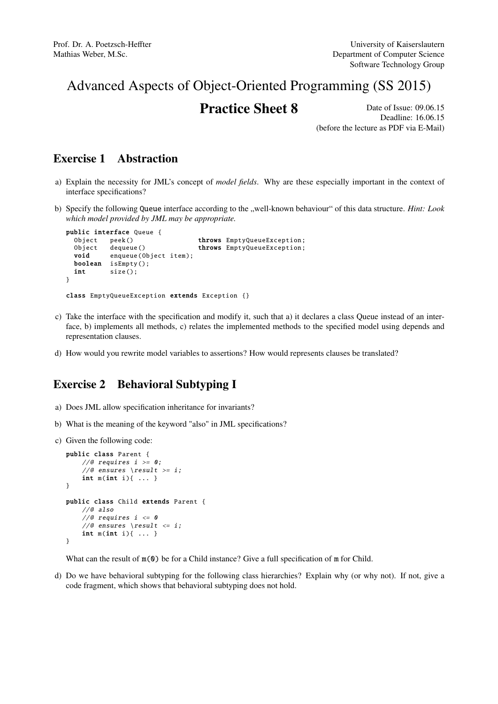# Advanced Aspects of Object-Oriented Programming (SS 2015)

## **Practice Sheet 8** Date of Issue: 09.06.15

Deadline: 16.06.15 (before the lecture as PDF via E-Mail)

#### Exercise 1 Abstraction

- a) Explain the necessity for JML's concept of *model fields*. Why are these especially important in the context of interface specifications?
- b) Specify the following Queue interface according to the "well-known behaviour" of this data structure. *Hint: Look which model provided by JML may be appropriate.*

```
public interface Queue {
 Object peek () throws EmptyQueueException:
 Object dequeue () throws EmptyQueueException;
 void enqueue(Object item);
 boolean isEmpty ();
 int size();
}
class EmptyQueueException extends Exception {}
```
- c) Take the interface with the specification and modify it, such that a) it declares a class Queue instead of an interface, b) implements all methods, c) relates the implemented methods to the specified model using depends and representation clauses.
- d) How would you rewrite model variables to assertions? How would represents clauses be translated?

### Exercise 2 Behavioral Subtyping I

- a) Does JML allow specification inheritance for invariants?
- b) What is the meaning of the keyword "also" in JML specifications?
- c) Given the following code:

```
public class Parent {
    //@ requires i \ge 0;//@ ensures \result >= i;
    int m(int i){ ... }
}
public class Child extends Parent {
    //@ also
    //@ requires i \le 0//@ ensures \result <= i;int m(int i){ ... }
}
```
What can the result of  $m(0)$  be for a Child instance? Give a full specification of m for Child.

d) Do we have behavioral subtyping for the following class hierarchies? Explain why (or why not). If not, give a code fragment, which shows that behavioral subtyping does not hold.